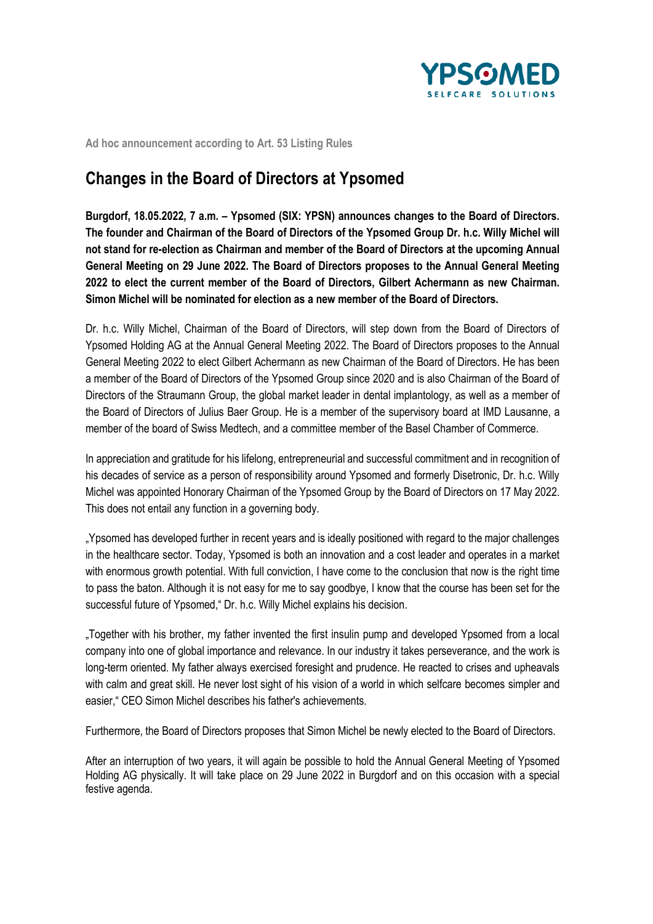

**Ad hoc announcement according to Art. 53 Listing Rules**

## **Changes in the Board of Directors at Ypsomed**

**Burgdorf, 18.05.2022, 7 a.m. – Ypsomed (SIX: YPSN) announces changes to the Board of Directors. The founder and Chairman of the Board of Directors of the Ypsomed Group Dr. h.c. Willy Michel will not stand for re-election as Chairman and member of the Board of Directors at the upcoming Annual General Meeting on 29 June 2022. The Board of Directors proposes to the Annual General Meeting 2022 to elect the current member of the Board of Directors, Gilbert Achermann as new Chairman. Simon Michel will be nominated for election as a new member of the Board of Directors.**

Dr. h.c. Willy Michel, Chairman of the Board of Directors, will step down from the Board of Directors of Ypsomed Holding AG at the Annual General Meeting 2022. The Board of Directors proposes to the Annual General Meeting 2022 to elect Gilbert Achermann as new Chairman of the Board of Directors. He has been a member of the Board of Directors of the Ypsomed Group since 2020 and is also Chairman of the Board of Directors of the Straumann Group, the global market leader in dental implantology, as well as a member of the Board of Directors of Julius Baer Group. He is a member of the supervisory board at IMD Lausanne, a member of the board of Swiss Medtech, and a committee member of the Basel Chamber of Commerce.

In appreciation and gratitude for his lifelong, entrepreneurial and successful commitment and in recognition of his decades of service as a person of responsibility around Ypsomed and formerly Disetronic, Dr. h.c. Willy Michel was appointed Honorary Chairman of the Ypsomed Group by the Board of Directors on 17 May 2022. This does not entail any function in a governing body.

"Ypsomed has developed further in recent years and is ideally positioned with regard to the major challenges in the healthcare sector. Today, Ypsomed is both an innovation and a cost leader and operates in a market with enormous growth potential. With full conviction, I have come to the conclusion that now is the right time to pass the baton. Although it is not easy for me to say goodbye, I know that the course has been set for the successful future of Ypsomed," Dr. h.c. Willy Michel explains his decision.

"Together with his brother, my father invented the first insulin pump and developed Ypsomed from a local company into one of global importance and relevance. In our industry it takes perseverance, and the work is long-term oriented. My father always exercised foresight and prudence. He reacted to crises and upheavals with calm and great skill. He never lost sight of his vision of a world in which selfcare becomes simpler and easier," CEO Simon Michel describes his father's achievements.

Furthermore, the Board of Directors proposes that Simon Michel be newly elected to the Board of Directors.

After an interruption of two years, it will again be possible to hold the Annual General Meeting of Ypsomed Holding AG physically. It will take place on 29 June 2022 in Burgdorf and on this occasion with a special festive agenda.